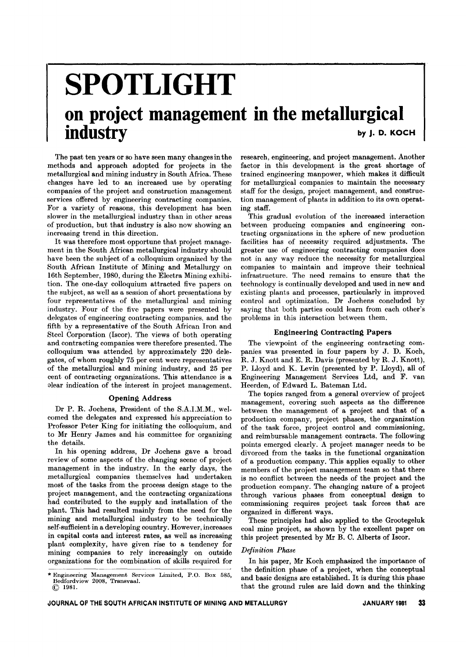# **SPOTLIGHT on project management in the metallurgical industry** by J. D. KOCH

The past ten years or so have seen many changes in the methods and approach adopted for projects in the metallurgical and mining industry in South Africa. These changes have led to an increased use by operating companies of the project and construction management services offered by engineering contracting companies. For a variety of reasons, this development has been slower in the metallurgical industry than in other areas of production, but that industry is also now showing an increasing trend in this direction.

It was therefore most opportune that project management in the South African metallurgical industry should have been the subject of a colloquium organized by the South African Institute of Mining and Metallurgy on 16th September, 1980, during the Electra Mining exhibition. The one-day colloquium attracted five papers on the subject, as well as a session of short presentations by four representatives of the metallurgical and mining industry. Four of the five papers were presented by delegates of engineering contracting companies, and the fifth by a representative of the South African Iron and Steel Corporation (Iscor). The views of both operating and contracting companies were therefore presented. The colloquium was attended by approximately 220 delegates, of whom roughly 75 per cent were representatives of the metallurgical and mining industry, and 25 per cent of contracting organizations. This attendance is a olear indication of the interest in project management.

#### Opening Address

Dr P. R. Jochens, President of the S.A.I.M.M., welcomed the delegates and expressed his appreciation to Professor Peter King for initiating the colloquium, and to Mr Henry James and his committee for organizing the details.

In his opening address, Dr Jochens gave a broad review of some aspects of the changing scene of project management in the industry. In the early days, the metallurgical companies themselves had undertaken most of the tasks from the process design stage to the project management, and the contracting organizations had contributed to the supply and installation of the plant. This had resulted mainly from the need for the mining and metallurgical industry to be technically self-sufficient in a developing country. However, increases in capital costs and interest rates, as well as increasing plant complexity, have given rise to a tendency for mining companies to rely increasingly on outside organizations for the combination of skills required for

\* Engineering Management Services Limited, P.O. Box 585,<br>Bedfordview 2008 Transvaal Bedfordview 2008, Transvaal. @ 1981.

research, engineering, and project management. Another factor in this development is the great shortage of trained engineering manpower, which makes it difficult for metallurgical companies to maintain the necessary staff for the design, project management, and construction management of plants in addition to its own operating staff.

This gradual evolution of the increased interaction between producing companies and engineering contracting organizations in the sphere of new production facilities has of necessity required adjustments. The greater use of engineering contracting companies does not in any way reduce the necessity for metallurgical companies to maintain and improve their technical infrastructure. The need remains to ensure that the technology is continually developed and used in new and existing plants and processes, particularly in improved control and optimization. Dr Jochens concluded by saying that both parties could learn from each other's problems in this interaction between them.

#### Engineering Contracting Papers

The viewpoint of the engineering contracting companies was presented in four papers by J. D. Koch, R. J. Knott and E. R. Davis (presented by R. J. Knott), P. Lloyd and K. Levin (presented by P. Lloyd), all of Engineering Management Services Ltd, and F. van Heerden, of Edward L. Bateman Ltd.

The topics ranged from a general overview of project management, covering such aspects as the difference between the management of a project and that of a production company, project phases, the organization of the task force, project control and commissioning, and reimbursable management contracts. The following points emerged clearly. A project manager needs to be divorced from the tasks in the functional organization of a production company. This applies equally to other members of the project management team so that there is no conflict bctween the needs of the project and the production company. The changing nature of a project through various phases from conceptual design to commissioning requires project task forces that are organized in different ways.

These principles had also applied to the Grootegeluk coal mine project, as shown by the excellent paper on this project presented by Mr B. C. Alberts of Iscor.

#### *Definition Phase*

In his paper, Mr Koch emphasized the importance of the definition phase of a project, when the conceptual and basic designs are established. It is during this phase that the ground rules are laid down and the thinking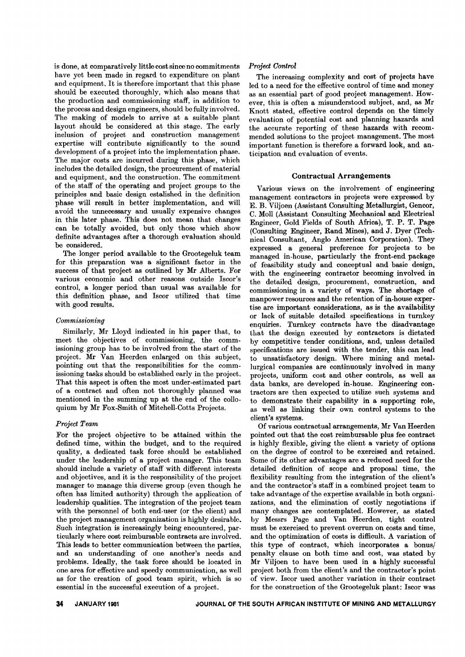is done, at comparatively little cost since no commitments have yet been made in regard to expenditure on plant and equipment. It is therefore important that this phase should be executed thoroughly, which also means that the production and commissioning staff, in addition to the process and design engineers, should be fully involved. The making of models to arrive at a suitable plant layout should be considered at this stage. The early inclusion of project and construction management expertise will contribute significantly to the sound development of a project into the implementation phase. The major costs are incurred during this phase, which includes the detailed design, the procurement of material and equipment, and the construction. The commitment of the staff of the operating and project groups to the principles and basic design estalished in the definition phase will result in better implementation, and will avoid the unnecessary and usually expensive changes in this later phase. This does not mean that changes can be totally avoided, but only those which show definite advantages after a thorough evaluation should be considered.

The longer period available to the Grootegeluk team for this preparation was a significant factor in the success of that project as outlined by Mr Alberts. For various economic and other reasons outside Iscor's control, a longer period than usual was available for this definition phase, and Iscor utilized that time with good results.

# *Commissioning*

Similarly, Mr Lloyd indicated in his paper that, to meet the objectives of commissioning, the commissioning group has to be involved from the start of the project. Mr Van Heerden enlarged on this subject, pointing out that the responsibilities for the commissioning tasks should be established early in the project. That this aspect is often the most under-estimated part of a contract and often not thoroughly planned was mentioned in the summing up at the end of the colloquium by Mr Fox-Smith of Mitchell-Cotts Projects.

# *Project Team*

For the project objective to be attained within the defined time, within the budget, and to the required quality, a dedicated task force should be established under the leadership of a project manager. This team should include a variety of staff with different interests and objectives, and it is the responsibility of the project manager to manage this diverse group (even though he often has limited authority) through the application of leadership qualities. The integration of the project team with the personnel of both end-user (or the client) and the project management organization is highly desirable. Such integration is increasingly being encountered, particularly where cost reimbursable contracts are involved. This leads to better communication between the parties, and an understanding of one another's needs and problems. Ideally, the task force should be located in one area for effective and speedy communication, as well as for the creation of good team spirit, which is so essential in the successful execution of a project.

# *Projerl Control*

The increasing complexity and cost of projects have led to a need for the effective control of time and money as an essential part of good project management. However, this is often a misunderstood subject, and, as Mr Knott stated, effective control depends on the timely evaluation of potential cost and planning hazards and the accurate reporting of these hazards with recommended solutions to the project management. The most important function is therefore a forward look, and anticipation and evaluation of events.

# Contractual Arrangements

Various views on the involvement of engineering management contractors in projects were expressed by E. B. Viljoen (Assistant Consulting Metallurgist, Gencor, C. Moll (Assistant Consulting Mechanical and Electrical Engineer, Gold Fields of South Africa), T. P. T. Page (Consulting Engineer, Rand Mines), and J. Dyer (Technical Consultant, Anglo American Corporation). They expressed a general preference for projects to be managed in-house, particularly the front-end package of feasibility study and conceptual and basic design, with the engineering contractor becoming involved in the detailed design, procurement, construction, and commissioning in a variety of ways. The shortage of manpower resources and the retention of in-house expertise are important considerations, as is the availability or lack of suitable detailed specifications in turnkey enquiries. Turnkey contracts have the disadvantage that the design executed by contractors is dictated by competitive tender conditions, and, unless detailed specifications are issued with the tender, this can lead to unsatisfactory design. Where mining and metallurgical companies are continuously involved in many projects, uniform cost and other controls, as well as data banks, are developed in-house. Engineering contractors are then expected to utilize such systems and to demonstrate their capability in a supporting role, as well as linking their own control systems to the client's systems.

Of various contractual arrangements, Mr Van Heerden pointed out that the cost reimbursable plus fee contract is highly flexible, giving the client a variety of options on the degree of control to be exercised and retained. Some of its other advantages are a reduced need for the detailed definition of scope and proposal time, the flexibility resulting from the integration of the client's and the contractor's staff in a combined project team to take advantage of the expertise available in both organizations, and the elimination of costly negotiations if many changes are contemplated. However, as stated by Messrs Page and Van Heerden, tight control must be exercised to prevent overrun on costs and time, and the optimization of costs is difficult. A variation of this type of contract, which incorporates a bonus/ penalty clause on both time and cost, was stated by Mr Viljoen to have been used in a highly successful project both from the client's and the contractor's point of view. Iscor used another variation in their contract for the construction of the Grootegeluk plant: Iscor was